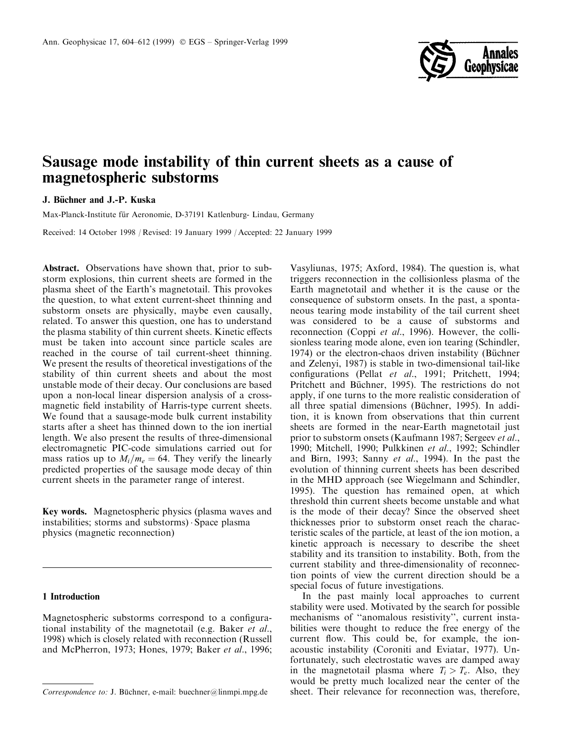

# Sausage mode instability of thin current sheets as a cause of magnetospheric substorms

# J. Büchner and J.-P. Kuska

Max-Planck-Institute für Aeronomie, D-37191 Katlenburg- Lindau, Germany

Received: 14 October 1998 / Revised: 19 January 1999 / Accepted: 22 January 1999

Abstract. Observations have shown that, prior to substorm explosions, thin current sheets are formed in the plasma sheet of the Earth's magnetotail. This provokes the question, to what extent current-sheet thinning and substorm onsets are physically, maybe even causally, related. To answer this question, one has to understand the plasma stability of thin current sheets. Kinetic effects must be taken into account since particle scales are reached in the course of tail current-sheet thinning. We present the results of theoretical investigations of the stability of thin current sheets and about the most unstable mode of their decay. Our conclusions are based upon a non-local linear dispersion analysis of a crossmagnetic field instability of Harris-type current sheets. We found that a sausage-mode bulk current instability starts after a sheet has thinned down to the ion inertial length. We also present the results of three-dimensional electromagnetic PIC-code simulations carried out for mass ratios up to  $M_i/m_e = 64$ . They verify the linearly predicted properties of the sausage mode decay of thin current sheets in the parameter range of interest.

Key words. Magnetospheric physics (plasma waves and instabilities; storms and substorms)  $\cdot$  Space plasma physics (magnetic reconnection)

## 1 Introduction

Magnetospheric substorms correspond to a configurational instability of the magnetotail (e.g. Baker et al., 1998) which is closely related with reconnection (Russell and McPherron, 1973; Hones, 1979; Baker et al., 1996;

Vasyliunas, 1975; Axford, 1984). The question is, what triggers reconnection in the collisionless plasma of the Earth magnetotail and whether it is the cause or the consequence of substorm onsets. In the past, a spontaneous tearing mode instability of the tail current sheet was considered to be a cause of substorms and reconnection (Coppi et al., 1996). However, the collisionless tearing mode alone, even ion tearing (Schindler, 1974) or the electron-chaos driven instability (Büchner and Zelenyi, 1987) is stable in two-dimensional tail-like configurations (Pellat et al., 1991; Pritchett, 1994; Pritchett and Büchner, 1995). The restrictions do not apply, if one turns to the more realistic consideration of all three spatial dimensions (Büchner, 1995). In addition, it is known from observations that thin current sheets are formed in the near-Earth magnetotail just prior to substorm onsets (Kaufmann 1987; Sergeev et al., 1990; Mitchell, 1990; Pulkkinen et al., 1992; Schindler and Birn, 1993; Sanny et al., 1994). In the past the evolution of thinning current sheets has been described in the MHD approach (see Wiegelmann and Schindler, 1995). The question has remained open, at which threshold thin current sheets become unstable and what is the mode of their decay? Since the observed sheet thicknesses prior to substorm onset reach the characteristic scales of the particle, at least of the ion motion, a kinetic approach is necessary to describe the sheet stability and its transition to instability. Both, from the current stability and three-dimensionality of reconnection points of view the current direction should be a special focus of future investigations.

In the past mainly local approaches to current stability were used. Motivated by the search for possible mechanisms of "anomalous resistivity", current instabilities were thought to reduce the free energy of the current flow. This could be, for example, the ionacoustic instability (Coroniti and Eviatar, 1977). Unfortunately, such electrostatic waves are damped away in the magnetotail plasma where  $T_i > T_e$ . Also, they would be pretty much localized near the center of the  $Correspondence to: J. Büchner, e-mail: [buechner@limmpi.mpg.de](mailto:buechner@limmpi.mpg.de) [buechner@limmpi.mpg.de](mailto:sheet. Their relevance for reconstruction was, therefore, e-mail: <a href=)$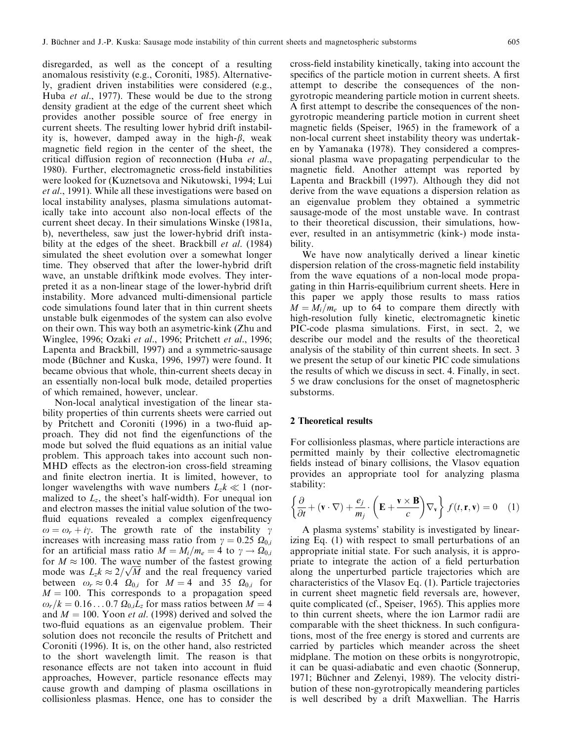disregarded, as well as the concept of a resulting anomalous resistivity (e.g., Coroniti, 1985). Alternatively, gradient driven instabilities were considered (e.g., Huba et al., 1977). These would be due to the strong density gradient at the edge of the current sheet which provides another possible source of free energy in current sheets. The resulting lower hybrid drift instability is, however, damped away in the high- $\beta$ , weak magnetic field region in the center of the sheet, the critical diffusion region of reconnection (Huba *et al.*, 1980). Further, electromagnetic cross-field instabilities were looked for (Kuznetsova and Nikutowski, 1994; Lui et al., 1991). While all these investigations were based on local instability analyses, plasma simulations automatically take into account also non-local effects of the current sheet decay. In their simulations Winske (1981a, b), nevertheless, saw just the lower-hybrid drift instability at the edges of the sheet. Brackbill *et al.* (1984) simulated the sheet evolution over a somewhat longer time. They observed that after the lower-hybrid drift wave, an unstable driftkink mode evolves. They interpreted it as a non-linear stage of the lower-hybrid drift instability. More advanced multi-dimensional particle code simulations found later that in thin current sheets unstable bulk eigenmodes of the system can also evolve on their own. This way both an asymetric-kink (Zhu and Winglee, 1996; Ozaki et al., 1996; Pritchett et al., 1996; Lapenta and Brackbill, 1997) and a symmetric-sausage mode (Büchner and Kuska, 1996, 1997) were found. It became obvious that whole, thin-current sheets decay in an essentially non-local bulk mode, detailed properties of which remained, however, unclear.

Non-local analytical investigation of the linear stability properties of thin currents sheets were carried out by Pritchett and Coroniti (1996) in a two-fluid approach. They did not find the eigenfunctions of the mode but solved the fluid equations as an initial value problem. This approach takes into account such non-MHD effects as the electron-ion cross-field streaming and finite electron inertia. It is limited, however, to longer wavelengths with wave numbers  $L_z k \ll 1$  (normalized to  $L_z$ , the sheet's half-width). For unequal ion and electron masses the initial value solution of the two fluid equations revealed a complex eigenfrequency  $\omega = \omega_r + i\gamma$ . The growth rate of the instability  $\gamma$ increases with increasing mass ratio from  $\gamma = 0.25 \Omega_{0,i}$ for an artificial mass ratio  $M = M_i/m_e = 4$  to  $\gamma \to \Omega_{0,i}$ for  $M \approx 100$ . The wave number of the fastest growing for  $M \approx 100$ . The wave number of the fastest growing<br>mode was  $L_z k \approx 2/\sqrt{M}$  and the real frequency varied between  $\omega_r \approx 0.4 \Omega_{0,i}$  for  $M = 4$  and 35  $\Omega_{0,i}$  for  $M = 100$ . This corresponds to a propagation speed  $\omega_r/k = 0.16 \dots 0.7 \Omega_{0,i}L_z$  for mass ratios between  $M = 4$ and  $M = 100$ . Yoon *et al.* (1998) derived and solved the two-fluid equations as an eigenvalue problem. Their solution does not reconcile the results of Pritchett and Coroniti (1996). It is, on the other hand, also restricted to the short wavelength limit. The reason is that resonance effects are not taken into account in fluid approaches, However, particle resonance effects may cause growth and damping of plasma oscillations in collisionless plasmas. Hence, one has to consider the

cross-field instability kinetically, taking into account the specifics of the particle motion in current sheets. A first attempt to describe the consequences of the nongyrotropic meandering particle motion in current sheets. A first attempt to describe the consequences of the nongyrotropic meandering particle motion in current sheet magnetic fields (Speiser, 1965) in the framework of a non-local current sheet instability theory was undertaken by Yamanaka (1978). They considered a compressional plasma wave propagating perpendicular to the magnetic field. Another attempt was reported by Lapenta and Brackbill (1997). Although they did not derive from the wave equations a dispersion relation as an eigenvalue problem they obtained a symmetric sausage-mode of the most unstable wave. In contrast to their theoretical discussion, their simulations, however, resulted in an antisymmetric (kink-) mode instability.

We have now analytically derived a linear kinetic dispersion relation of the cross-magnetic field instability from the wave equations of a non-local mode propagating in thin Harris-equilibrium current sheets. Here in this paper we apply those results to mass ratios  $M = M_i/m_e$  up to 64 to compare them directly with high-resolution fully kinetic, electromagnetic kinetic PIC-code plasma simulations. First, in sect. 2, we describe our model and the results of the theoretical analysis of the stability of thin current sheets. In sect. 3 we present the setup of our kinetic PIC code simulations the results of which we discuss in sect. 4. Finally, in sect. 5 we draw conclusions for the onset of magnetospheric substorms.

### 2 Theoretical results

For collisionless plasmas, where particle interactions are permitted mainly by their collective electromagnetic fields instead of binary collisions, the Vlasov equation provides an appropriate tool for analyzing plasma stability:

$$
\left\{\frac{\partial}{\partial t} + (\mathbf{v} \cdot \nabla) + \frac{e_j}{m_j} \cdot \left(\mathbf{E} + \frac{\mathbf{v} \times \mathbf{B}}{c}\right) \nabla_{\mathbf{v}}\right\} f(t, \mathbf{r}, \mathbf{v}) = 0 \quad (1)
$$

A plasma systems' stability is investigated by linearizing Eq. (1) with respect to small perturbations of an appropriate initial state. For such analysis, it is appropriate to integrate the action of a field perturbation along the unperturbed particle trajectories which are characteristics of the Vlasov Eq. (1). Particle trajectories in current sheet magnetic field reversals are, however, quite complicated (cf., Speiser, 1965). This applies more to thin current sheets, where the ion Larmor radii are comparable with the sheet thickness. In such configurations, most of the free energy is stored and currents are carried by particles which meander across the sheet midplane. The motion on these orbits is nongyrotropic, it can be quasi-adiabatic and even chaotic (Sonnerup, 1971; Büchner and Zelenyi, 1989). The velocity distribution of these non-gyrotropically meandering particles is well described by a drift Maxwellian. The Harris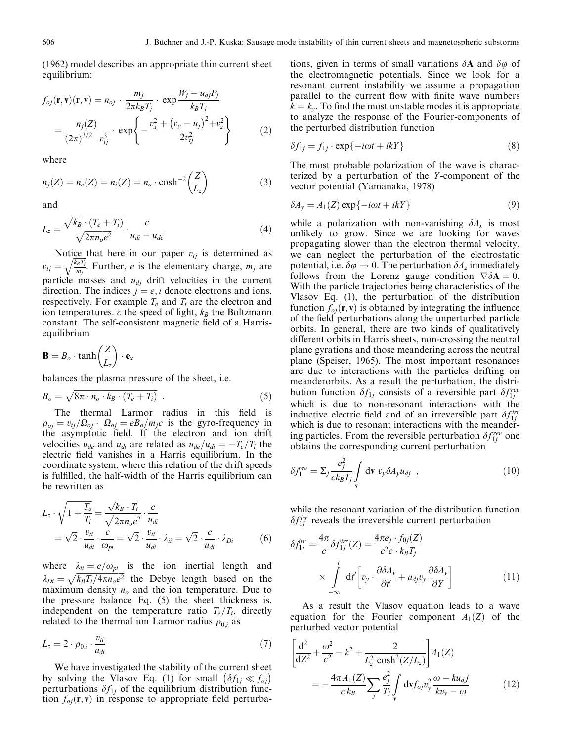(1962) model describes an appropriate thin current sheet equilibrium:

$$
f_{oj}(\mathbf{r}, \mathbf{v})(\mathbf{r}, \mathbf{v}) = n_{oj} \cdot \frac{m_j}{2\pi k_B T_j} \cdot \exp \frac{W_j - u_{dj} P_j}{k_B T_j}
$$
  
= 
$$
\frac{n_j(Z)}{(2\pi)^{3/2} \cdot v_{tj}^3} \cdot \exp \left\{-\frac{v_x^2 + (v_y - u_j)^2 + v_z^2}{2v_{tj}^2}\right\}
$$
(2)

where

$$
n_j(Z) = n_e(Z) = n_i(Z) = n_o \cdot \cosh^{-2} \left(\frac{Z}{L_z}\right)
$$
 (3)

and

$$
L_z = \frac{\sqrt{k_B \cdot (T_e + T_i)}}{\sqrt{2\pi n_o e^2}} \cdot \frac{c}{u_{di} - u_{de}}
$$
(4)

Notice that here in our paper  $v_{tj}$  is determined as  $v_{tj} = \sqrt{\frac{k_B T_j}{m_i}}$ mj  $\sqrt{\frac{k_B T_j}{m_i}}$ . Further, *e* is the elementary charge, *m<sub>j</sub>* are particle masses and  $u_{d}$  drift velocities in the current direction. The indices  $j = e, i$  denote electrons and ions, respectively. For example  $T_e$  and  $T_i$  are the electron and ion temperatures. c the speed of light,  $k_B$  the Boltzmann constant. The self-consistent magnetic field of a Harrisequilibrium

$$
\mathbf{B} = B_o \cdot \tanh\left(\frac{Z}{L_z}\right) \cdot \mathbf{e}_x
$$

balances the plasma pressure of the sheet, i.e.

$$
B_o = \sqrt{8\pi \cdot n_o \cdot k_B \cdot (T_e + T_i)} \tag{5}
$$

The thermal Larmor radius in this field is  $\rho_{oj} = v_{tj}/\Omega_{oj} \cdot \Omega_{oj} = eB_o/m_jc$  is the gyro-frequency in the asymptotic field. If the electron and ion drift velocities  $u_{de}$  and  $u_{di}$  are related as  $u_{de}/u_{di}=-T_e/T_i$  the electric field vanishes in a Harris equilibrium. In the coordinate system, where this relation of the drift speeds is fulfilled, the half-width of the Harris equilibrium can be rewritten as

$$
L_z \cdot \sqrt{1 + \frac{T_e}{T_i}} = \frac{\sqrt{k_B \cdot T_i}}{\sqrt{2\pi n_o e^2}} \cdot \frac{c}{u_{di}}
$$
  
=  $\sqrt{2} \cdot \frac{v_{ii}}{u_{di}} \cdot \frac{c}{\omega_{pi}} = \sqrt{2} \cdot \frac{v_{ii}}{u_{di}} \cdot \lambda_{ii} = \sqrt{2} \cdot \frac{c}{u_{di}} \cdot \lambda_{Di}$  (6)

where  $\lambda_{ii} = c/\omega_{pi}$  is the ion inertial length and  $\lambda_{Di} = \sqrt{k_B T_i / 4 \pi n_o e^2}$  the Debye length based on the maximum density  $n<sub>o</sub>$  and the ion temperature. Due to the pressure balance Eq. (5) the sheet thickness is, independent on the temperature ratio  $T_e/T_i$ , directly related to the thermal ion Larmor radius  $\rho_{0,i}$  as

$$
L_z = 2 \cdot \rho_{0,i} \cdot \frac{v_{ti}}{u_{di}} \tag{7}
$$

We have investigated the stability of the current sheet by solving the Vlasov Eq. (1) for small  $(\delta f_{1i} \ll f_{0i})$ perturbations  $\delta f_{1i}$  of the equilibrium distribution function  $f_{oj}(\mathbf{r}, \mathbf{v})$  in response to appropriate field perturbations, given in terms of small variations  $\delta A$  and  $\delta \varphi$  of the electromagnetic potentials. Since we look for a resonant current instability we assume a propagation parallel to the current flow with finite wave numbers  $k = k<sub>v</sub>$ . To find the most unstable modes it is appropriate to analyze the response of the Fourier-components of the perturbed distribution function

$$
\delta f_{1j} = f_{1j} \cdot \exp\{-i\omega t + ikY\} \tag{8}
$$

The most probable polarization of the wave is characterized by a perturbation of the Y -component of the vector potential (Yamanaka, 1978)

$$
\delta A_y = A_1(Z) \exp\{-i\omega t + ikY\}
$$
\n(9)

while a polarization with non-vanishing  $\delta A_x$  is most unlikely to grow. Since we are looking for waves propagating slower than the electron thermal velocity, we can neglect the perturbation of the electrostatic potential, i.e.  $\delta \varphi \to 0$ . The perturbation  $\delta A_z$  immediately follows from the Lorenz gauge condition  $\nabla \delta \mathbf{A} = 0$ . With the particle trajectories being characteristics of the Vlasov Eq. (1), the perturbation of the distribution function  $f_{oi}(\mathbf{r}, \mathbf{v})$  is obtained by integrating the influence of the field perturbations along the unperturbed particle orbits. In general, there are two kinds of qualitatively different orbits in Harris sheets, non-crossing the neutral plane gyrations and those meandering across the neutral plane (Speiser, 1965). The most important resonances are due to interactions with the particles drifting on meanderorbits. As a result the perturbation, the distribution function  $\delta f_{1j}$  consists of a reversible part  $\delta f_{1j}^{rev}$ which is due to non-resonant interactions with the inductive electric field and of an irreversible part  $\delta f_{1j}^{irr}$ which is due to resonant interactions with the meandering particles. From the reversible perturbation  $\delta f_{1j}^{rev}$  one obtains the corresponding current perturbation

$$
\delta j_1^{\text{rev}} = \Sigma_j \frac{e_j^2}{ck_B T_j} \int\limits_{\mathbf{v}} d\mathbf{v} \ v_y \delta A_y u_{dj} \ , \qquad (10)
$$

while the resonant variation of the distribution function  $\delta f_{1j}^{irr}$  reveals the irreversible current perturbation

$$
\delta j_{1j}^{irr} = \frac{4\pi}{c} \delta f_{1j}^{irr}(Z) = \frac{4\pi e_j \cdot f_{0j}(Z)}{c^2 c \cdot k_B T_j} \times \int_{-\infty}^{t} dt' \left[ v_y \cdot \frac{\partial \delta A_y}{\partial t'} + u_{dj} v_y \frac{\partial \delta A_y}{\partial Y} \right]
$$
(11)

As a result the Vlasov equation leads to a wave equation for the Fourier component  $A_1(Z)$  of the perturbed vector potential

$$
\left[\frac{d^2}{dZ^2} + \frac{\omega^2}{c^2} - k^2 + \frac{2}{L_z^2 \cosh^2(Z/L_z)}\right] A_1(Z)
$$
  
= 
$$
-\frac{4\pi A_1(Z)}{c k_B} \sum_j \frac{e_j^2}{T_j} \int_{\mathbf{v}} d\mathbf{v} f_{oj} v_y^2 \frac{\omega - k u_{dj}}{k v_y - \omega}
$$
(12)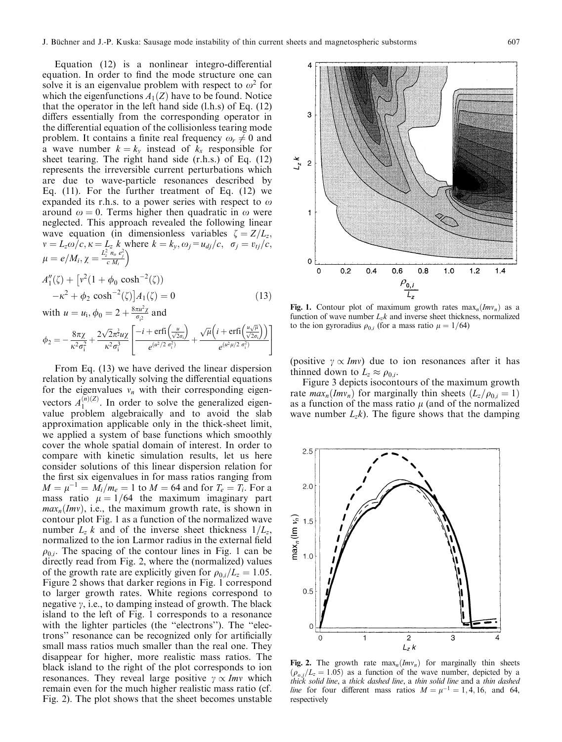Equation  $(12)$  is a nonlinear integro-differential equation. In order to find the mode structure one can solve it is an eigenvalue problem with respect to  $\omega^2$  for which the eigenfunctions  $A_1(Z)$  have to be found. Notice that the operator in the left hand side  $(l.h.s)$  of Eq.  $(12)$ differs essentially from the corresponding operator in the differential equation of the collisionless tearing mode problem. It contains a finite real frequency  $\omega_r \neq 0$  and a wave number  $k = k_y$  instead of  $k_x$  responsible for sheet tearing. The right hand side (r.h.s.) of Eq. (12) represents the irreversible current perturbations which are due to wave-particle resonances described by Eq. (11). For the further treatment of Eq. (12) we expanded its r.h.s. to a power series with respect to  $\omega$ around  $\omega = 0$ . Terms higher then quadratic in  $\omega$  were neglected. This approach revealed the following linear wave equation (in dimensionless variables  $\zeta = Z/L_z$ ;  $v = L_z \omega/c$ ,  $\kappa = L_z k$  where  $k = k_y$ ,  $\omega_j = u_{dj}/c$ ,  $\sigma_j = v_{tj}/c$ ,  $\mu = e/M_i, \chi = \frac{L_z^2 \; n_o \; e_j^2}{c \; M_i}$  $\overline{ }$ 

$$
A_1''(\zeta) + [v^2(1 + \phi_0 \cosh^{-2}(\zeta)) -\kappa^2 + \phi_2 \cosh^{-2}(\zeta)]A_1(\zeta) = 0
$$
  
with  $u = u_i$ ,  $\phi_0 = 2 + \frac{8\pi u^2 \zeta}{\sigma_i^2}$  and (13)

$$
\phi_2 = -\frac{8\pi\chi}{\kappa^2\sigma_i^2} + \frac{2\sqrt{2}\pi^2 u\chi}{\kappa^2\sigma_i^3} \left[ \frac{-i + \text{erfi}\left(\frac{u}{\sqrt{2}\sigma_i}\right)}{e^{(u^2/2\sigma_i^2)}} + \frac{\sqrt{\mu}\left(i + \text{erfi}\left(\frac{u\sqrt{\mu}}{\sqrt{2}\sigma_i}\right)\right)}{e^{(u^2\mu/2\sigma_i^2)}} \right]
$$

From Eq. (13) we have derived the linear dispersion relation by analytically solving the differential equations for the eigenvalues  $v_n$  with their corresponding eigenvectors  $A_1^{(n)(Z)}$ . In order to solve the generalized eigenvalue problem algebraically and to avoid the slab approximation applicable only in the thick-sheet limit, we applied a system of base functions which smoothly cover the whole spatial domain of interest. In order to compare with kinetic simulation results, let us here consider solutions of this linear dispersion relation for the first six eigenvalues in for mass ratios ranging from  $M = \mu^{-1} = M_i/m_e = 1$  to  $M = 64$  and for  $T_e = T_i$ . For a mass ratio  $\mu = 1/64$  the maximum imaginary part  $max_n(Imv)$ , i.e., the maximum growth rate, is shown in contour plot Fig. 1 as a function of the normalized wave number  $L_z$  k and of the inverse sheet thickness  $1/L_z$ , normalized to the ion Larmor radius in the external field  $\rho_{0,i}$ . The spacing of the contour lines in Fig. 1 can be directly read from Fig. 2, where the (normalized) values of the growth rate are explicitly given for  $\rho_{0i}/L_z = 1.05$ . Figure 2 shows that darker regions in Fig. 1 correspond to larger growth rates. White regions correspond to negative  $\gamma$ , i.e., to damping instead of growth. The black island to the left of Fig. 1 corresponds to a resonance with the lighter particles (the "electrons"). The "electrons" resonance can be recognized only for artificially small mass ratios much smaller than the real one. They disappear for higher, more realistic mass ratios. The black island to the right of the plot corresponds to ion resonances. They reveal large positive  $\gamma \propto Imv$  which remain even for the much higher realistic mass ratio (cf. Fig. 2). The plot shows that the sheet becomes unstable



Fig. 1. Contour plot of maximum growth rates  $\max_n(Imv_n)$  as a function of wave number  $L_z k$  and inverse sheet thickness, normalized to the ion gyroradius  $\rho_{0i}$  (for a mass ratio  $\mu = 1/64$ )

(positive  $\gamma \propto Imv$ ) due to ion resonances after it has thinned down to  $L_z \approx \rho_{0,i}$ .

Figure 3 depicts isocontours of the maximum growth rate  $max_n(Imv_n)$  for marginally thin sheets  $(L_z/\rho_{0,i} = 1)$ as a function of the mass ratio  $\mu$  (and of the normalized wave number  $L_z k$ ). The figure shows that the damping



Fig. 2. The growth rate  $max_n(Imv_n)$  for marginally thin sheets  $(\rho_{0,i}/L_z = 1.05)$  as a function of the wave number, depicted by a thick solid line, a thick dashed line, a thin solid line and a thin dashed line for four different mass ratios  $M = \mu^{-1} = 1, 4, 16,$  and 64, respectively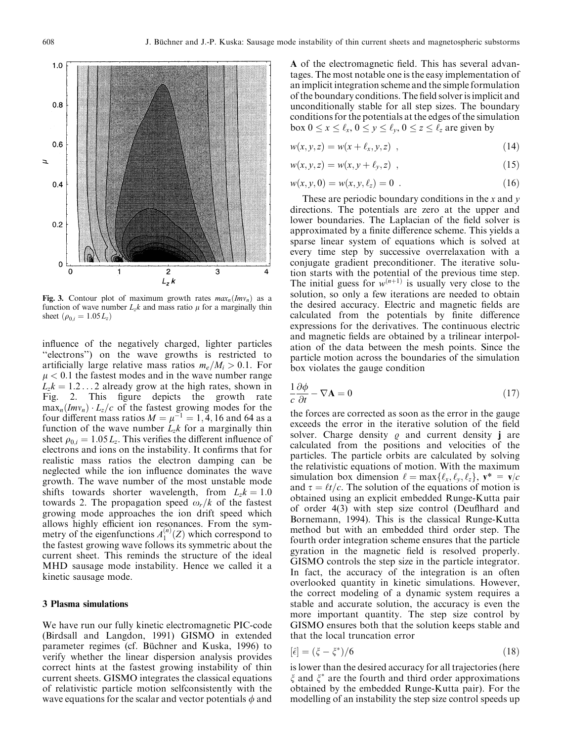

Fig. 3. Contour plot of maximum growth rates  $max_n(Imv_n)$  as a function of wave number  $L_z k$  and mass ratio  $\mu$  for a marginally thin sheet  $(\rho_{0i} = 1.05 L_z)$ 

influence of the negatively charged, lighter particles "electrons") on the wave growths is restricted to artificially large relative mass ratios  $m_e/M_i > 0.1$ . For  $\mu$  < 0.1 the fastest modes and in the wave number range  $L_z k = 1.2 \dots 2$  already grow at the high rates, shown in Fig. 2. This figure depicts the growth rate  $\max_n(Imv_n) \cdot L_z/c$  of the fastest growing modes for the four different mass ratios  $M = \mu^{-1} = 1, 4, 16$  and 64 as a function of the wave number  $L_z k$  for a marginally thin sheet  $\rho_{0,i} = 1.05 L_z$ . This verifies the different influence of electrons and ions on the instability. It confirms that for realistic mass ratios the electron damping can be neglected while the ion influence dominates the wave growth. The wave number of the most unstable mode shifts towards shorter wavelength, from  $L_z k = 1.0$ towards 2. The propagation speed  $\omega_r/k$  of the fastest growing mode approaches the ion drift speed which allows highly efficient ion resonances. From the symmetry of the eigenfunctions  $A_1^{(n)}(Z)$  which correspond to the fastest growing wave follows its symmetric about the current sheet. This reminds the structure of the ideal MHD sausage mode instability. Hence we called it a kinetic sausage mode.

#### 3 Plasma simulations

We have run our fully kinetic electromagnetic PIC-code (Birdsall and Langdon, 1991) GISMO in extended parameter regimes (cf. Büchner and Kuska, 1996) to verify whether the linear dispersion analysis provides correct hints at the fastest growing instability of thin current sheets. GISMO integrates the classical equations of relativistic particle motion selfconsistently with the wave equations for the scalar and vector potentials  $\phi$  and

A of the electromagnetic field. This has several advantages. The most notable one is the easy implementation of an implicit integration scheme and the simple formulation of the boundary conditions. The field solver is implicit and unconditionally stable for all step sizes. The boundary conditions for the potentials at the edges of the simulation box  $0 \le x \le \ell_x, 0 \le y \le \ell_y, 0 \le z \le \ell_z$  are given by

$$
w(x, y, z) = w(x + \ell_x, y, z) \tag{14}
$$

$$
w(x, y, z) = w(x, y + \ell_y, z) \tag{15}
$$

$$
w(x, y, 0) = w(x, y, \ell_z) = 0.
$$
 (16)

These are periodic boundary conditions in the x and y directions. The potentials are zero at the upper and lower boundaries. The Laplacian of the field solver is approximated by a finite difference scheme. This yields a sparse linear system of equations which is solved at every time step by successive overrelaxation with a conjugate gradient preconditioner. The iterative solution starts with the potential of the previous time step. The initial guess for  $w^{(n+1)}$  is usually very close to the solution, so only a few iterations are needed to obtain the desired accuracy. Electric and magnetic fields are calculated from the potentials by finite difference expressions for the derivatives. The continuous electric and magnetic fields are obtained by a trilinear interpolation of the data between the mesh points. Since the particle motion across the boundaries of the simulation box violates the gauge condition

$$
\frac{1}{c}\frac{\partial\phi}{\partial t} - \nabla\mathbf{A} = 0\tag{17}
$$

the forces are corrected as soon as the error in the gauge exceeds the error in the iterative solution of the field solver. Charge density  $\rho$  and current density **j** are calculated from the positions and velocities of the particles. The particle orbits are calculated by solving the relativistic equations of motion. With the maximum simulation box dimension  $\ell = \max{\{\ell_x, \ell_y, \ell_z\}}, v^* = v/c$ and  $\tau = \ell t/c$ . The solution of the equations of motion is obtained using an explicit embedded Runge-Kutta pair of order  $4(3)$  with step size control (Deufthard and Bornemann, 1994). This is the classical Runge-Kutta method but with an embedded third order step. The fourth order integration scheme ensures that the particle gyration in the magnetic field is resolved properly. GISMO controls the step size in the particle integrator. In fact, the accuracy of the integration is an often overlooked quantity in kinetic simulations. However, the correct modeling of a dynamic system requires a stable and accurate solution, the accuracy is even the more important quantity. The step size control by GISMO ensures both that the solution keeps stable and that the local truncation error

$$
[\hat{\epsilon}] = (\xi - \xi^*)/6\tag{18}
$$

is lower than the desired accuracy for all trajectories (here  $\xi$  and  $\xi^*$  are the fourth and third order approximations obtained by the embedded Runge-Kutta pair). For the modelling of an instability the step size control speeds up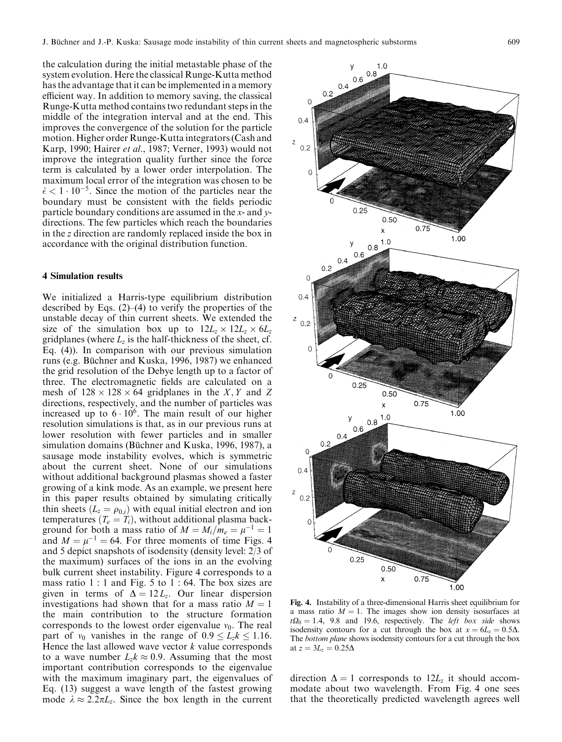the calculation during the initial metastable phase of the system evolution. Here the classical Runge-Kutta method has the advantage that it can be implemented in a memory efficient way. In addition to memory saving, the classical Runge-Kutta method contains two redundant steps in the middle of the integration interval and at the end. This improves the convergence of the solution for the particle motion. Higher order Runge-Kutta integrators (Cash and Karp, 1990; Hairer et al., 1987; Verner, 1993) would not improve the integration quality further since the force term is calculated by a lower order interpolation. The maximum local error of the integration was chosen to be  $\hat{\epsilon}$  < 1  $\cdot$  10<sup>-5</sup>. Since the motion of the particles near the boundary must be consistent with the fields periodic particle boundary conditions are assumed in the x- and ydirections. The few particles which reach the boundaries in the z direction are randomly replaced inside the box in accordance with the original distribution function.

#### 4 Simulation results

We initialized a Harris-type equilibrium distribution described by Eqs.  $(2)$ – $(4)$  to verify the properties of the unstable decay of thin current sheets. We extended the size of the simulation box up to  $12L_z \times 12L_z \times 6L_z$ gridplanes (where  $L_z$  is the half-thickness of the sheet, cf. Eq. (4)). In comparison with our previous simulation runs (e.g. Büchner and Kuska, 1996, 1987) we enhanced the grid resolution of the Debye length up to a factor of three. The electromagnetic fields are calculated on a mesh of  $128 \times 128 \times 64$  gridplanes in the X, Y and Z directions, respectively, and the number of particles was increased up to  $6 \cdot 10^6$ . The main result of our higher resolution simulations is that, as in our previous runs at lower resolution with fewer particles and in smaller simulation domains (Büchner and Kuska, 1996, 1987), a sausage mode instability evolves, which is symmetric about the current sheet. None of our simulations without additional background plasmas showed a faster growing of a kink mode. As an example, we present here in this paper results obtained by simulating critically thin sheets  $(L_z = \rho_{0,i})$  with equal initial electron and ion temperatures  $(T_e = T_i)$ , without additional plasma background for both a mass ratio of  $M = M_i/m_e = \mu^{-1} = 1$ and  $M = \mu^{-1} = 64$ . For three moments of time Figs. 4 and 5 depict snapshots of isodensity (density level: 2/3 of the maximum) surfaces of the ions in an the evolving bulk current sheet instability. Figure 4 corresponds to a mass ratio 1 : 1 and Fig. 5 to 1 : 64. The box sizes are given in terms of  $\Delta = 12 L_z$ . Our linear dispersion investigations had shown that for a mass ratio  $M = 1$ the main contribution to the structure formation corresponds to the lowest order eigenvalue  $v_0$ . The real part of  $v_0$  vanishes in the range of  $0.9 \le L_z k \le 1.16$ . Hence the last allowed wave vector  $k$  value corresponds to a wave number  $L_z k \approx 0.9$ . Assuming that the most important contribution corresponds to the eigenvalue with the maximum imaginary part, the eigenvalues of Eq. (13) suggest a wave length of the fastest growing mode  $\lambda \approx 2.2\pi L_z$ . Since the box length in the current



Fig. 4. Instability of a three-dimensional Harris sheet equilibrium for a mass ratio  $M = 1$ . The images show ion density isosurfaces at  $t\Omega_0 = 1.4$ , 9.8 and 19.6, respectively. The *left box side* shows isodensity contours for a cut through the box at  $x = 6L_z = 0.5\Delta$ . The bottom plane shows isodensity contours for a cut through the box at  $z = 3L_z = 0.25\Delta$ 

direction  $\Delta = 1$  corresponds to  $12L_z$  it should accommodate about two wavelength. From Fig. 4 one sees that the theoretically predicted wavelength agrees well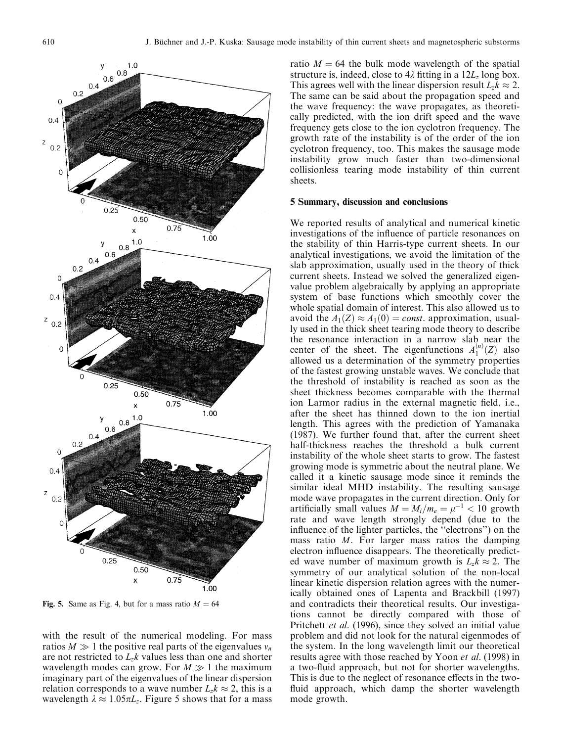

Fig. 5. Same as Fig. 4, but for a mass ratio  $M = 64$ 

with the result of the numerical modeling. For mass ratios  $M \gg 1$  the positive real parts of the eigenvalues  $v_n$ are not restricted to  $L_z k$  values less than one and shorter wavelength modes can grow. For  $M \gg 1$  the maximum imaginary part of the eigenvalues of the linear dispersion relation corresponds to a wave number  $L_z k \approx 2$ , this is a wavelength  $\lambda \approx 1.05\pi L_z$ . Figure 5 shows that for a mass

ratio  $M = 64$  the bulk mode wavelength of the spatial structure is, indeed, close to  $4\lambda$  fitting in a  $12L_z$  long box. This agrees well with the linear dispersion result  $L_z k \approx 2$ . The same can be said about the propagation speed and the wave frequency: the wave propagates, as theoretically predicted, with the ion drift speed and the wave frequency gets close to the ion cyclotron frequency. The growth rate of the instability is of the order of the ion cyclotron frequency, too. This makes the sausage mode instability grow much faster than two-dimensional collisionless tearing mode instability of thin current sheets.

#### 5 Summary, discussion and conclusions

We reported results of analytical and numerical kinetic investigations of the influence of particle resonances on the stability of thin Harris-type current sheets. In our analytical investigations, we avoid the limitation of the slab approximation, usually used in the theory of thick current sheets. Instead we solved the generalized eigenvalue problem algebraically by applying an appropriate system of base functions which smoothly cover the whole spatial domain of interest. This also allowed us to avoid the  $A_1(Z) \approx A_1(0) = const.$  approximation, usually used in the thick sheet tearing mode theory to describe the resonance interaction in a narrow slab near the center of the sheet. The eigenfunctions  $A_1^{(n)}(Z)$  also allowed us a determination of the symmetry properties of the fastest growing unstable waves. We conclude that the threshold of instability is reached as soon as the sheet thickness becomes comparable with the thermal ion Larmor radius in the external magnetic field, i.e., after the sheet has thinned down to the ion inertial length. This agrees with the prediction of Yamanaka (1987). We further found that, after the current sheet half-thickness reaches the threshold a bulk current instability of the whole sheet starts to grow. The fastest growing mode is symmetric about the neutral plane. We called it a kinetic sausage mode since it reminds the similar ideal MHD instability. The resulting sausage mode wave propagates in the current direction. Only for artificially small values  $M = M_i/m_e = \mu^{-1} < 10$  growth rate and wave length strongly depend (due to the influence of the lighter particles, the "electrons") on the mass ratio M. For larger mass ratios the damping electron influence disappears. The theoretically predicted wave number of maximum growth is  $L_z k \approx 2$ . The symmetry of our analytical solution of the non-local linear kinetic dispersion relation agrees with the numerically obtained ones of Lapenta and Brackbill (1997) and contradicts their theoretical results. Our investigations cannot be directly compared with those of Pritchett *et al.* (1996), since they solved an initial value problem and did not look for the natural eigenmodes of the system. In the long wavelength limit our theoretical results agree with those reached by Yoon et al. (1998) in a two-fluid approach, but not for shorter wavelengths. This is due to the neglect of resonance effects in the twofluid approach, which damp the shorter wavelength mode growth.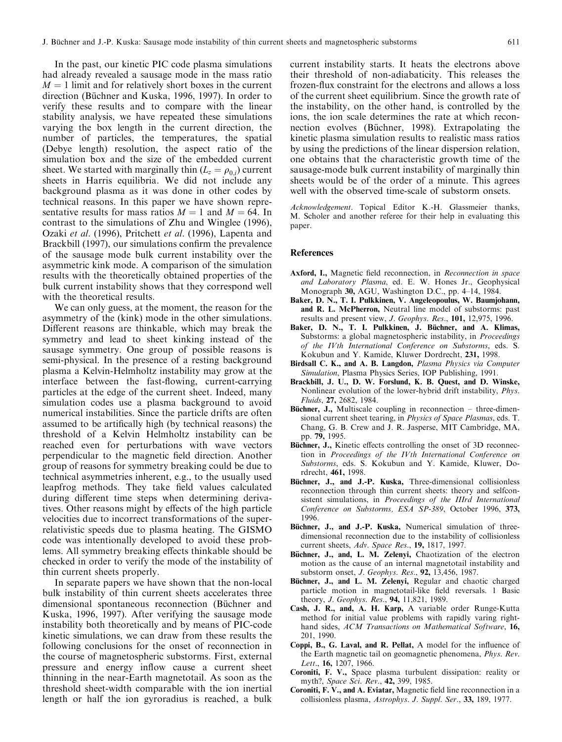In the past, our kinetic PIC code plasma simulations had already revealed a sausage mode in the mass ratio  $M = 1$  limit and for relatively short boxes in the current direction (Büchner and Kuska, 1996, 1997). In order to verify these results and to compare with the linear stability analysis, we have repeated these simulations varying the box length in the current direction, the number of particles, the temperatures, the spatial (Debye length) resolution, the aspect ratio of the simulation box and the size of the embedded current sheet. We started with marginally thin  $(L_z = \rho_0)$  current sheets in Harris equilibria. We did not include any background plasma as it was done in other codes by technical reasons. In this paper we have shown representative results for mass ratios  $M = 1$  and  $M = 64$ . In contrast to the simulations of Zhu and Winglee (1996), Ozaki et al. (1996), Pritchett et al. (1996), Lapenta and Brackbill (1997), our simulations confirm the prevalence of the sausage mode bulk current instability over the asymmetric kink mode. A comparison of the simulation results with the theoretically obtained properties of the bulk current instability shows that they correspond well with the theoretical results.

We can only guess, at the moment, the reason for the asymmetry of the (kink) mode in the other simulations. Different reasons are thinkable, which may break the symmetry and lead to sheet kinking instead of the sausage symmetry. One group of possible reasons is semi-physical. In the presence of a resting background plasma a Kelvin-Helmholtz instability may grow at the interface between the fast-flowing, current-carrying particles at the edge of the current sheet. Indeed, many simulation codes use a plasma background to avoid numerical instabilities. Since the particle drifts are often assumed to be artifically high (by technical reasons) the threshold of a Kelvin Helmholtz instability can be reached even for perturbations with wave vectors perpendicular to the magnetic field direction. Another group of reasons for symmetry breaking could be due to technical asymmetries inherent, e.g., to the usually used leapfrog methods. They take field values calculated during different time steps when determining derivatives. Other reasons might by effects of the high particle velocities due to incorrect transformations of the superrelativistic speeds due to plasma heating. The GISMO code was intentionally developed to avoid these problems. All symmetry breaking effects thinkable should be checked in order to verify the mode of the instability of thin current sheets properly.

In separate papers we have shown that the non-local bulk instability of thin current sheets accelerates three dimensional spontaneous reconnection (Büchner and Kuska, 1996, 1997). After verifying the sausage mode instability both theoretically and by means of PIC-code kinetic simulations, we can draw from these results the following conclusions for the onset of reconnection in the course of magnetospheric substorms. First, external pressure and energy inflow cause a current sheet thinning in the near-Earth magnetotail. As soon as the threshold sheet-width comparable with the ion inertial length or half the ion gyroradius is reached, a bulk

current instability starts. It heats the electrons above their threshold of non-adiabaticity. This releases the frozen-flux constraint for the electrons and allows a loss of the current sheet equilibrium. Since the growth rate of the instability, on the other hand, is controlled by the ions, the ion scale determines the rate at which reconnection evolves (Büchner, 1998). Extrapolating the kinetic plasma simulation results to realistic mass ratios by using the predictions of the linear dispersion relation, one obtains that the characteristic growth time of the sausage-mode bulk current instability of marginally thin sheets would be of the order of a minute. This agrees well with the observed time-scale of substorm onsets.

Acknowledgement. Topical Editor K.-H. Glassmeier thanks, M. Scholer and another referee for their help in evaluating this paper.

#### **References**

- Axford, I., Magnetic field reconnection, in Reconnection in space and Laboratory Plasma, ed. E. W. Hones Jr., Geophysical Monograph 30, AGU, Washington D.C., pp. 4-14, 1984.
- Baker, D. N., T. I. Pulkkinen, V. Angeleopoulus, W. Baumjohann, and R. L. McPherron, Neutral line model of substorms: past results and present view, J. Geophys. Res., 101, 12,975, 1996.
- Baker, D. N., T. I. Pulkkinen, J. Büchner, and A. Klimas, Substorms: a global magnetospheric instability, in Proceedings of the IVth International Conference on Substorms, eds. S. Kokubun and Y. Kamide, Kluwer Dordrecht, 231, 1998.
- Birdsall C. K., and A. B. Langdon, Plasma Physics via Computer Simulation, Plasma Physics Series, IOP Publishing, 1991.
- Brackbill, J. U., D. W. Forslund, K. B. Quest, and D. Winske, Nonlinear evolution of the lower-hybrid drift instability, Phys. Fluids, 27, 2682, 1984.
- Büchner, J., Multiscale coupling in reconnection  $-$  three-dimensional current sheet tearing, in Physics of Space Plasmas, eds. T. Chang, G. B. Crew and J. R. Jasperse, MIT Cambridge, MA, pp. 79, 1995.
- Büchner, J., Kinetic effects controlling the onset of 3D reconnection in Proceedings of the IVth International Conference on Substorms, eds. S. Kokubun and Y. Kamide, Kluwer, Dordrecht, 461, 1998.
- Büchner, J., and J.-P. Kuska, Three-dimensional collisionless reconnection through thin current sheets: theory and selfconsistent simulations, in Proceedings of the IIIrd International Conference on Substorms, ESA SP-389, October 1996, 373, 1996.
- Büchner, J., and J.-P. Kuska, Numerical simulation of threedimensional reconnection due to the instability of collisionless current sheets, Adv. Space Res., 19, 1817, 1997.
- Büchner, J., and, L. M. Zelenyi, Chaotization of the electron motion as the cause of an internal magnetotail instability and substorm onset, J. Geophys. Res., 92, 13,456, 1987.
- Büchner, J., and L. M. Zelenyi, Regular and chaotic charged particle motion in magnetotail-like field reversals. 1 Basic theory, J. Geophys. Res., 94, 11,821, 1989.
- Cash, J. R., and, A. H. Karp, A variable order Runge-Kutta method for initial value problems with rapidly varing righthand sides, ACM Transactions on Mathematical Software, 16, 201, 1990.
- Coppi, B., G. Laval, and R. Pellat, A model for the influence of the Earth magnetic tail on geomagnetic phenomena, Phys. Rev. Lett., 16, 1207, 1966.
- Coroniti, F. V., Space plasma turbulent dissipation: reality or myth?, Space Sci. Rev., 42, 399, 1985.
- Coroniti, F. V., and A. Eviatar, Magnetic field line reconnection in a collisionless plasma, Astrophys. J. Suppl. Ser., 33, 189, 1977.